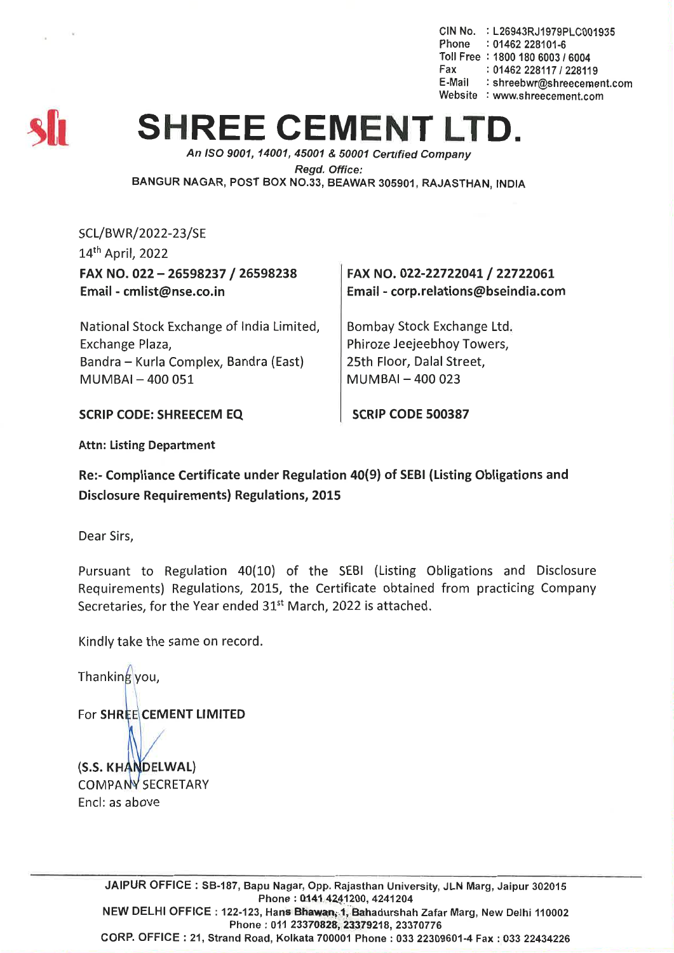elN No. : L26943RJ1979PLe001935 Phone : 01462 228101-6 Toll Free : 1800 180 6003 *16004* Fax: *01462228117/228119* E-Mail : shreebwr@shreecement.com Website : www.shreecement.com



## **SHREE CEMENT LTI**

*An ISO 9001, 14001,45001* & *50001 Certitied Company Regd. Office:* BANGUR NAGAR, POST BOX NO.33, BEAWAR 305901, RAJASTHAN, INDIA

SCL/BWR/2022-23/SE 14th April, 2022 FAX NO. 022 - 26598237 / 26598238 Email - cmlist@nse.co.in

FAX NO. 022-22722041 / 22722061 Email -corp.relations@bseindia.com

National Stock Exchange of India Limited, Exchange Plaza, Bandra - Kurla Complex, Bandra (East) MUMBAI-400051

Bombay Stock Exchange Ltd. Phiroze Jeejeebhoy Towers, 25th Floor, Dalal Street,  $MUMBAI - 400023$ 

SCRIP CODE: SHREECEM EQ

SCRIP CODE 500387

Attn: Listing Department

Re:- Compliance Certificate under Regulation 40(9) of SEBI (Listing Obligations and Disclosure Requirements) Regulations, 2015

Dear Sirs,

Pursuant to Regulation 40(10) of the SEBI (Listing Obligations and Disclosure Requirements) Regulations, 2015, the Certificate obtained from practicing Company Secretaries, for the Year ended 31<sup>st</sup> March, 2022 is attached.

Kindly take the same on record.

Thanking you,

For SHREE CEMENT LIMITED

(S.S. KHANDELWAL) COMPANY SECRETARY Encl: as above

> JAIPUR OFFICE: SB-187, Bapu Nagar, Opp. Rajasthan University, JLN Marg, Jaipur 302015 Phone: 0141 4241200, 4241204 NEW DELHI OFFICE: 122-123, Hans Bhawan, 1, Bahadurshah Zafar Marg, New Delhi 110002 Phone: 011 23370828, 23379218, 23370776 CORP. OFFICE: 21, Strand Road, Kolkata 700001 Phone: 033 22309601-4 Fax: 03322434226